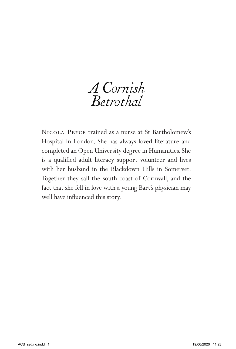A Cornish Betrothal

Nicola Pryce trained as a nurse at St Bartholomew's Hospital in London. She has always loved literature and completed an Open University degree in Humanities. She is a qualified adult literacy support volunteer and lives with her husband in the Blackdown Hills in Somerset. Together they sail the south coast of Cornwall, and the fact that she fell in love with a young Bart's physician may well have influenced this story.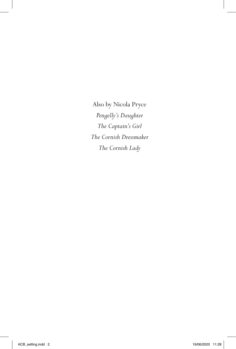Also by Nicola Pryce *Pengelly's Daughter The Captain's Girl The Cornish Dressmaker The Cornish Lady*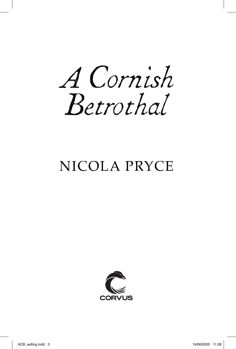

# NICOLA PRYCE



ACB\_setting.indd 3 19/06/2020 11:28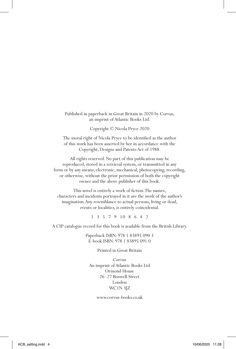Published in paperback in Great Britain in 2020 by Corvus, an imprint of Atlantic Books Ltd.

Copyright © Nicola Pryce 2020

The moral right of Nicola Pryce to be identified as the author of this work has been asserted by her in accordance with the Copyright, Designs and Patents Act of 1988.

All rights reserved. No part of this publication may be reproduced, stored in a retrieval system, or transmitted in any form or by any means, electronic, mechanical, photocopying, recording, or otherwise, without the prior permission of both the copyright owner and the above publisher of this book.

This novel is entirely a work of fiction. The names, characters and incidents portrayed in it are the work of the author's imagination. Any resemblance to actual persons, living or dead, events or localities, is entirely coincidental.

1 3 5 7 9 10 8 6 4 2

A CIP catalogue record for this book is available from the British Library.

Paperback ISBN: 978 1 83895 090 3 E-book ISBN: 978 1 83895 091 0

Printed in Great Britain

Corvus An imprint of Atlantic Books Ltd Ormond House 26–27 Boswell Street London WC1N 3JZ

www.corvus-books.co.uk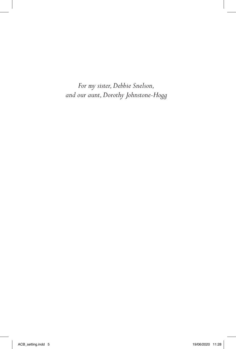*For my sister, Debbie Snelson, and our aunt, Dorothy Johnstone-Hogg*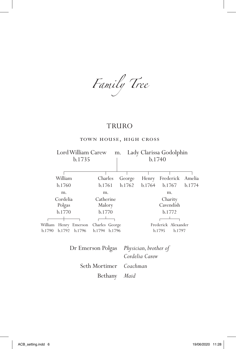*Family Tree*

## TRURO

## TOWN HOUSE, HIGH CROSS

| Lord William Carew<br>b.1735 | Lady Clarissa Godolphin<br>m.<br>b.1740 |        |                     |                  |        |
|------------------------------|-----------------------------------------|--------|---------------------|------------------|--------|
|                              |                                         |        |                     |                  |        |
| William                      | Charles                                 | George | Henry               | Frederick Amelia |        |
| b.1760                       | b.1761                                  | b.1762 | b.1764              | b.1767           | b.1774 |
| m.                           | m.                                      |        |                     | m.               |        |
| Cordelia                     | Catherine                               |        |                     | Charity          |        |
| Polgas                       | Malory                                  |        |                     | Cavendish        |        |
| b.1770                       | b.1770                                  |        |                     | b.1772           |        |
|                              |                                         |        |                     |                  |        |
| William<br>Henry Emerson     | Charles George                          |        | Frederick Alexander |                  |        |
| b.1790<br>b.1792<br>b.1796   | b.1794<br>b.1796                        |        |                     | b.1795<br>b.1797 |        |

Dr Emerson Polgas *Physician, brother of Cordelia Carew* Seth Mortimer *Coachman* Bethany *Maid*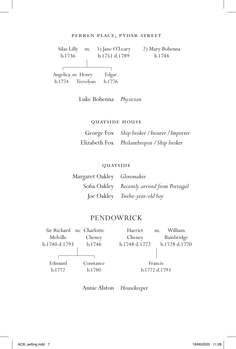## PERREN PLACE, PYDAR STREET

Silas Lilly m. 1) Jane O'Leary 2) Mary Bohenna m. b.1736 b.1751 d.1789 b.1744 ٦ Angelica m. Henry Edgar b.1774 Trevelyan b.1776

Luke Bohenna *Physician*

#### QUAYSIDE HOUSE

George Fox *Ship broker* /*Insurer* /*Importer* Elizabeth Fox *Philanthropist* /*Ship broker*

#### QUAYSIDE

Margaret Oakley *Glovemaker* Sofia Oakley *Recently arrived from Portugal* Joe Oakley *Twelve-year-old boy*

## PENDOWRICK

|               | Sir Richard m. Charlotte | Harriet       | William<br>m. |  |
|---------------|--------------------------|---------------|---------------|--|
| Melville      | Cheney                   | Cheney        | Bainbridge    |  |
| b.1740 d.1793 | b.1746                   | b.1748 d.1772 | b.1728 d.1770 |  |
|               |                          |               |               |  |
|               |                          |               |               |  |
| Edmund        | Constance                | Francis       |               |  |
| b.1772        | b.1780                   | b.1772 d.1793 |               |  |
|               |                          |               |               |  |

Annie Alston *Housekeeper*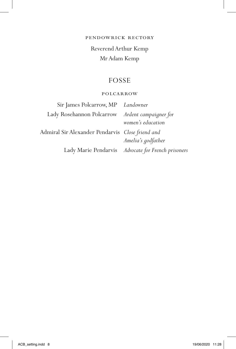## PENDOWRICK RECTORY

Reverend Arthur Kemp Mr Adam Kemp

# FOSSE

## POLCARROW

| Sir James Polcarrow, MP Landowner                |                                                    |
|--------------------------------------------------|----------------------------------------------------|
| Lady Rosehannon Polcarrow Ardent campaigner for  |                                                    |
|                                                  | women's education                                  |
| Admiral Sir Alexander Pendarvis Close friend and |                                                    |
|                                                  | Amelia's godfather                                 |
|                                                  | Lady Marie Pendarvis Advocate for French prisoners |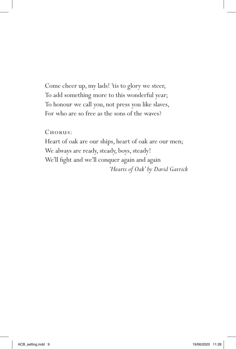Come cheer up, my lads! 'tis to glory we steer, To add something more to this wonderful year; To honour we call you, not press you like slaves, For who are so free as the sons of the waves?

Chorus:

Heart of oak are our ships, heart of oak are our men; We always are ready, steady, boys, steady! We'll fight and we'll conquer again and again *'Hearts of Oak' by David Garrick*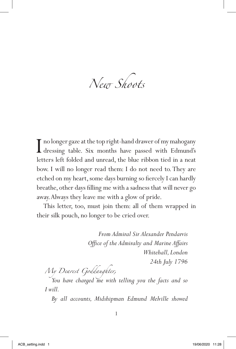*New Shoots*

I no longer gaze at the top right-hand drawer of my mahogany<br>dressing table. Six months have passed with Edmund's<br> $\frac{1}{2}$ letters left folded and unread, the blue ribbon tied in a neat bow. I will no longer read them: I do not need to. They are etched on my heart, some days burning so fiercely I can hardly breathe, other days filling me with a sadness that will never go away. Always they leave me with a glow of pride.

This letter, too, must join them: all of them wrapped in their silk pouch, no longer to be cried over.

> *From Admiral Sir Alexander Pendarvis Office of the Admiralty and Marine Affairs Whitehall, London 24th July 1796*

*My Dearest Goddaughter,*

*You have charged me with telling you the facts and so I will.*

*By all accounts, Midshipman Edmund Melville showed*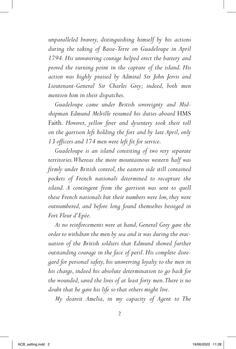*unparalleled bravery, distinguishing himself by his actions during the taking of Basse-Terre on Guadeloupe in April 1794. His unwavering courage helped erect the battery and proved the turning point in the capture of the island. His action was highly praised by Admiral Sir John Jervis and Lieutenant-General Sir Charles Grey; indeed, both men mention him in their dispatches.*

*Guadeloupe came under British sovereignty and Midshipman Edmund Melville resumed his duties aboard* HMS Faith*. However, yellow fever and dysentery took their toll on the garrison left holding the fort and by late April, only 13 officers and 174 men were left fit for service.*

*Guadeloupe is an island consisting of two very separate territories. Whereas the more mountainous western half was firmly under British control, the eastern side still contained pockets of French nationals determined to recapture the island. A contingent from the garrison was sent to quell these French nationals but their numbers were low, they were outnumbered, and before long found themselves besieged in Fort Fleur d'Epée.*

*As no reinforcements were at hand, General Grey gave the order to withdraw the men by sea and it was during the evac*uation of the British soldiers that Edmund showed further *outstanding courage in the face of peril. His complete disregard for personal safety, his unswerving loyalty to the men in his charge, indeed his absolute determination to go back for the wounded, saved the lives of at least forty men. There is no doubt that he gave his life so that others might live.*

*My dearest Amelia, in my capacity of Agent to The*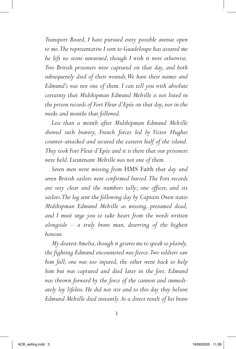*Transport Board, I have pursued every possible avenue open to me. The representative I sent to Guadeloupe has assured me he left no stone unturned, though I wish it were otherwise. Two British prisoners were captured on that day, and both subsequently died of their wounds. We have their names and Edmund's was not one of them. I can tell you with absolute certainty that Midshipman Edmund Melville is not listed in the prison records of Fort Fleur d'Epée on that day, nor in the weeks and months that followed.*

*Less than a month after Midshipman Edmund Melville showed such bravery, French forces led by Victor Hughes counter-attacked and secured the eastern half of the island. They took Fort Fleur d'Epée and it is there that our prisoners were held. Lieutenant Melville was not one of them.*

*Seven men went missing from* HMS Faith *that day and seven British sailors were confirmed buried. The Fort records are very clear and the numbers tally; one officer, and six sailors. The log sent the following day by Captain Owen states Midshipman Edmund Melville as missing, presumed dead, and I must urge you to take heart from the words written alongside – a truly brave man, deserving of the highest honour.*

*My dearest Amelia, though it grieves me to speak so plainly, the fighting Edmund encountered was fierce. Two soldiers saw him fall; one was too injured, the other went back to help him but was captured and died later in the fort. Edmund was thrown forward by the force of the cannon and immediately lay lifeless. He did not stir and to this day they believe Edmund Melville died instantly. As a direct result of his brave*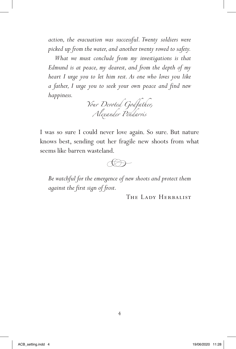*action, the evacuation was successful. Twenty soldiers were picked up from the water, and another twenty rowed to safety.*

*What we must conclude from my investigations is that Edmund is at peace, my dearest, and from the depth of my heart I urge you to let him rest. As one who loves you like a father, I urge you to seek your own peace and find new happiness.*

*Your Devoted Godfather, Alexander Pendarvis*

I was so sure I could never love again. So sure. But nature knows best, sending out her fragile new shoots from what seems like barren wasteland.



*Be watchful for the emergence of new shoots and protect them against the first sign of frost.*

The Lady Herbalist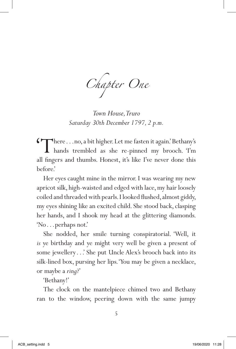*Chapter One*

*Town House, Truro Saturday 30th December 1797, 2 p.m.*

'There. . .no, a bit higher. Let me fasten it again.' Bethany's hands trembled as she re-pinned my brooch. 'I'm all fingers and thumbs. Honest, it's like I've never done this before.'

Her eyes caught mine in the mirror. I was wearing my new apricot silk, high-waisted and edged with lace, my hair loosely coiled and threaded with pearls. I looked flushed, almost giddy, my eyes shining like an excited child. She stood back, clasping her hands, and I shook my head at the glittering diamonds. 'No . . .perhaps not.'

She nodded, her smile turning conspiratorial. 'Well, it *is* ye birthday and ye might very well be given a present of some jewellery . . .' She put Uncle Alex's brooch back into its silk-lined box, pursing her lips. 'You may be given a necklace, or maybe a *ring*?'

'Bethany!'

The clock on the mantelpiece chimed two and Bethany ran to the window, peering down with the same jumpy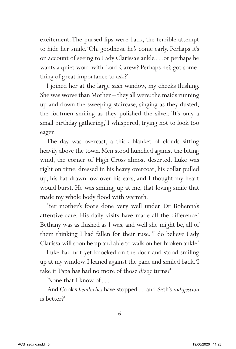excitement. The pursed lips were back, the terrible attempt to hide her smile. 'Oh, goodness, he's come early. Perhaps it's on account of seeing to Lady Clarissa's ankle. . .or perhaps he wants a quiet word with Lord Carew? Perhaps he's got something of great importance to ask?'

I joined her at the large sash window, my cheeks flushing. She was worse than Mother – they all were: the maids running up and down the sweeping staircase, singing as they dusted, the footmen smiling as they polished the silver. 'It's only a small birthday gathering,' I whispered, trying not to look too eager.

The day was overcast, a thick blanket of clouds sitting heavily above the town. Men stood hunched against the biting wind, the corner of High Cross almost deserted. Luke was right on time, dressed in his heavy overcoat, his collar pulled up, his hat drawn low over his ears, and I thought my heart would burst. He was smiling up at me, that loving smile that made my whole body flood with warmth.

'Yer mother's foot's done very well under Dr Bohenna's attentive care. His daily visits have made all the difference.' Bethany was as flushed as I was, and well she might be, all of them thinking I had fallen for their ruse. 'I do believe Lady Clarissa will soon be up and able to walk on her broken ankle.'

Luke had not yet knocked on the door and stood smiling up at my window. I leaned against the pane and smiled back. 'I take it Papa has had no more of those *dizzy* turns?'

'None that I know of. . .'

'And Cook's *headaches* have stopped . . .and Seth's *indigestion* is better?'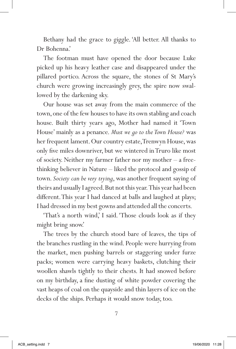Bethany had the grace to giggle. 'All better. All thanks to Dr Bohenna<sup>'</sup>

The footman must have opened the door because Luke picked up his heavy leather case and disappeared under the pillared portico. Across the square, the stones of St Mary's church were growing increasingly grey, the spire now swallowed by the darkening sky.

Our house was set away from the main commerce of the town, one of the few houses to have its own stabling and coach house. Built thirty years ago, Mother had named it 'Town House' mainly as a penance. *Must we go to the Town House?* was her frequent lament. Our country estate, Trenwyn House, was only five miles downriver, but we wintered in Truro like most of society. Neither my farmer father nor my mother – a freethinking believer in Nature – liked the protocol and gossip of town. *Society can be very trying*, was another frequent saying of theirs and usually I agreed. But not this year. This year had been different. This year I had danced at balls and laughed at plays; I had dressed in my best gowns and attended all the concerts.

'That's a north wind,' I said. 'Those clouds look as if they might bring snow.'

The trees by the church stood bare of leaves, the tips of the branches rustling in the wind. People were hurrying from the market, men pushing barrels or staggering under furze packs; women were carrying heavy baskets, clutching their woollen shawls tightly to their chests. It had snowed before on my birthday, a fine dusting of white powder covering the vast heaps of coal on the quayside and thin layers of ice on the decks of the ships. Perhaps it would snow today, too.

7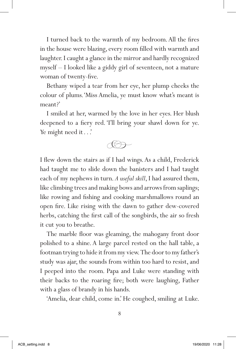I turned back to the warmth of my bedroom. All the fires in the house were blazing, every room filled with warmth and laughter. I caught a glance in the mirror and hardly recognized myself – I looked like a giddy girl of seventeen, not a mature woman of twenty-five.

Bethany wiped a tear from her eye, her plump cheeks the colour of plums. 'Miss Amelia, ye must know what's meant is meant?'

I smiled at her, warmed by the love in her eyes. Her blush deepened to a fiery red. 'I'll bring your shawl down for ye. Ye might need it...'



I flew down the stairs as if I had wings. As a child, Frederick had taught me to slide down the banisters and I had taught each of my nephews in turn. *A useful skill*, I had assured them, like climbing trees and making bows and arrows from saplings; like rowing and fishing and cooking marshmallows round an open fire. Like rising with the dawn to gather dew-covered herbs, catching the first call of the songbirds, the air so fresh it cut you to breathe.

The marble floor was gleaming, the mahogany front door polished to a shine. A large parcel rested on the hall table, a footman trying to hide it from my view. The door to my father's study was ajar, the sounds from within too hard to resist, and I peeped into the room. Papa and Luke were standing with their backs to the roaring fire; both were laughing, Father with a glass of brandy in his hands.

'Amelia, dear child, come in.' He coughed, smiling at Luke.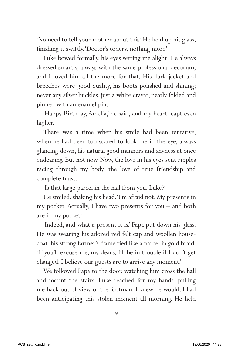'No need to tell your mother about this.' He held up his glass, finishing it swiftly. 'Doctor's orders, nothing more.'

Luke bowed formally, his eyes setting me alight. He always dressed smartly, always with the same professional decorum, and I loved him all the more for that. His dark jacket and breeches were good quality, his boots polished and shining; never any silver buckles, just a white cravat, neatly folded and pinned with an enamel pin.

'Happy Birthday, Amelia,' he said, and my heart leapt even higher.

There was a time when his smile had been tentative, when he had been too scared to look me in the eye, always glancing down, his natural good manners and shyness at once endearing. But not now. Now, the love in his eyes sent ripples racing through my body: the love of true friendship and complete trust.

'Is that large parcel in the hall from you, Luke?'

He smiled, shaking his head. 'I'm afraid not. My present's in my pocket. Actually, I have two presents for you – and both are in my pocket.'

'Indeed, and what a present it is.' Papa put down his glass. He was wearing his adored red felt cap and woollen housecoat, his strong farmer's frame tied like a parcel in gold braid. 'If you'll excuse me, my dears, I'll be in trouble if I don't get changed. I believe our guests are to arrive any moment.'

We followed Papa to the door, watching him cross the hall and mount the stairs. Luke reached for my hands, pulling me back out of view of the footman. I knew he would. I had been anticipating this stolen moment all morning. He held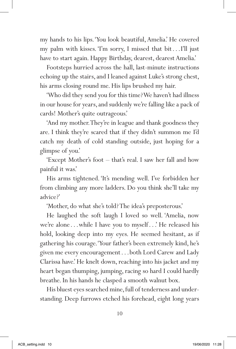my hands to his lips. 'You look beautiful, Amelia.' He covered my palm with kisses. 'I'm sorry, I missed that bit. . .I'll just have to start again. Happy Birthday, dearest, dearest Amelia.'

Footsteps hurried across the hall, last-minute instructions echoing up the stairs, and I leaned against Luke's strong chest, his arms closing round me. His lips brushed my hair.

'Who did they send you for this time? We haven't had illness in our house for years, and suddenly we're falling like a pack of cards! Mother's quite outrageous.'

'And my mother. They're in league and thank goodness they are. I think they're scared that if they didn't summon me I'd catch my death of cold standing outside, just hoping for a glimpse of you.'

'Except Mother's foot – that's real. I saw her fall and how painful it was.'

His arms tightened. 'It's mending well. I've forbidden her from climbing any more ladders. Do you think she'll take my advice?'

'Mother, do what she's told? The idea's preposterous.'

He laughed the soft laugh I loved so well. 'Amelia, now we're alone. . .while I have you to myself. . .' He released his hold, looking deep into my eyes. He seemed hesitant, as if gathering his courage. 'Your father's been extremely kind, he's given me every encouragement. . .both Lord Carew and Lady Clarissa have.' He knelt down, reaching into his jacket and my heart began thumping, jumping, racing so hard I could hardly breathe. In his hands he clasped a smooth walnut box.

His bluest eyes searched mine, full of tenderness and understanding. Deep furrows etched his forehead, eight long years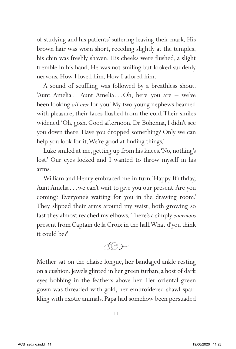of studying and his patients' suffering leaving their mark. His brown hair was worn short, receding slightly at the temples, his chin was freshly shaven. His cheeks were flushed, a slight tremble in his hand. He was not smiling but looked suddenly nervous. How I loved him. How I adored him.

A sound of scuffling was followed by a breathless shout. 'Aunt Amelia. . .Aunt Amelia. . .Oh, here you are – we've been looking *all over* for you.' My two young nephews beamed with pleasure, their faces flushed from the cold. Their smiles widened. 'Oh, gosh. Good afternoon, Dr Bohenna, I didn't see you down there. Have you dropped something? Only we can help you look for it. We're good at finding things.'

Luke smiled at me, getting up from his knees. 'No, nothing's lost.' Our eyes locked and I wanted to throw myself in his arms.

William and Henry embraced me in turn. 'Happy Birthday, Aunt Amelia. . .we can't wait to give you our present. Are you coming? Everyone's waiting for you in the drawing room.' They slipped their arms around my waist, both growing so fast they almost reached my elbows. 'There's a simply *enormous* present from Captain de la Croix in the hall. What d'you think it could be?'

 $\omega$ 

Mother sat on the chaise longue, her bandaged ankle resting on a cushion. Jewels glinted in her green turban, a host of dark eyes bobbing in the feathers above her. Her oriental green gown was threaded with gold, her embroidered shawl sparkling with exotic animals. Papa had somehow been persuaded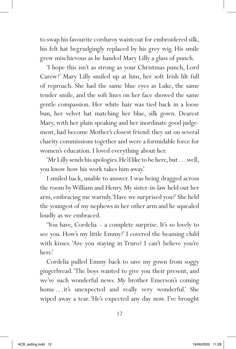to swap his favourite corduroy waistcoat for embroidered silk, his felt hat begrudgingly replaced by his grey wig. His smile grew mischievous as he handed Mary Lilly a glass of punch.

'I hope this isn't as strong as your Christmas punch, Lord Carew?' Mary Lilly smiled up at him, her soft Irish lilt full of reproach. She had the same blue eyes as Luke, the same tender smile, and the soft lines on her face showed the same gentle compassion. Her white hair was tied back in a loose bun, her velvet hat matching her blue, silk gown. Dearest Mary, with her plain speaking and her inordinate good judgement, had become Mother's closest friend: they sat on several charity commissions together and were a formidable force for women's education. I loved everything about her.

'Mr Lilly sends his apologies. He'd like to be here, but. . .well, you know how his work takes him away.'

I smiled back, unable to answer. I was being dragged across the room by William and Henry. My sister-in-law held out her arm, embracing me warmly. 'Have we surprised you?' She held the youngest of my nephews in her other arm and he squealed loudly as we embraced.

'You have, Cordelia – a complete surprise. It's so lovely to see you. How's my little Emmy?' I covered the beaming child with kisses. 'Are you staying in Truro? I can't believe you're here.'

Cordelia pulled Emmy back to save my gown from soggy gingerbread. 'The boys wanted to give you their present, and we've such wonderful news. My brother Emerson's coming home...it's unexpected and really very wonderful.' She wiped away a tear. 'He's expected any day now. I've brought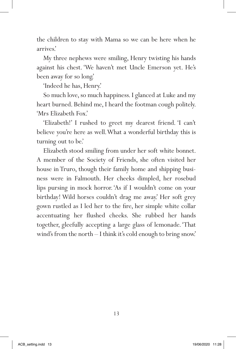the children to stay with Mama so we can be here when he arrives.'

My three nephews were smiling, Henry twisting his hands against his chest. 'We haven't met Uncle Emerson yet. He's been away for so long.'

'Indeed he has, Henry.'

So much love, so much happiness. I glanced at Luke and my heart burned. Behind me, I heard the footman cough politely. 'Mrs Elizabeth Fox.'

'Elizabeth!' I rushed to greet my dearest friend. 'I can't believe you're here as well. What a wonderful birthday this is turning out to be.'

Elizabeth stood smiling from under her soft white bonnet. A member of the Society of Friends, she often visited her house in Truro, though their family home and shipping business were in Falmouth. Her cheeks dimpled, her rosebud lips pursing in mock horror. 'As if I wouldn't come on your birthday! Wild horses couldn't drag me away.' Her soft grey gown rustled as I led her to the fire, her simple white collar accentuating her flushed cheeks. She rubbed her hands together, gleefully accepting a large glass of lemonade. 'That wind's from the north – I think it's cold enough to bring snow.'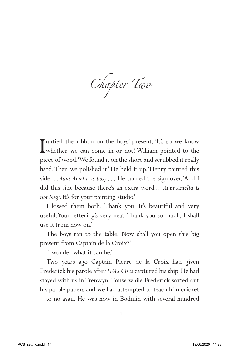*Chapter Two*

**I** untied the ribbon on the boys' present. 'It's so we know whether we can come in or not.' William pointed to the piece of wood. 'We found it on the shore and scrubbed it really hard. Then we polished it.' He held it up. 'Henry painted this side. . .*Aunt Amelia is busy*. . .' He turned the sign over. 'And I did this side because there's an extra word . . .*Aunt Amelia is not busy*. It's for your painting studio.'

I kissed them both. 'Thank you. It's beautiful and very useful. Your lettering's very neat. Thank you so much, I shall use it from now on.'

The boys ran to the table. 'Now shall you open this big present from Captain de la Croix?'

'I wonder what it can be.'

Two years ago Captain Pierre de la Croix had given Frederick his parole after *HMS Circe* captured his ship. He had stayed with us in Trenwyn House while Frederick sorted out his parole papers and we had attempted to teach him cricket – to no avail. He was now in Bodmin with several hundred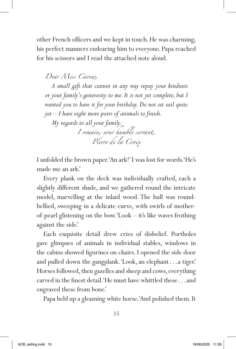other French officers and we kept in touch. He was charming, his perfect manners endearing him to everyone. Papa reached for his scissors and I read the attached note aloud.

*Dear Miss Carew,*

*A small gift that cannot in any way repay your kindness or your family's generosity to me. It is not yet complete, but I wanted you to have it for your birthday. Do not set sail quite yet – I have eight more pairs of animals to finish. My regards to all your family.*

*I remain, your humble servant, Pierre de la Croix*

I unfolded the brown paper. 'An ark!' I was lost for words. 'He's made me an ark.'

Every plank on the deck was individually crafted, each a slightly different shade, and we gathered round the intricate model, marvelling at the inlaid wood. The hull was roundbellied, sweeping in a delicate curve, with swirls of motherof-pearl glistening on the bow. 'Look – it's like waves frothing against the side.'

Each exquisite detail drew cries of disbelief. Portholes gave glimpses of animals in individual stables, windows in the cabins showed figurines on chairs. I opened the side door and pulled down the gangplank. 'Look, an elephant. . .a tiger.' Horses followed, then gazelles and sheep and cows, everything carved in the finest detail. 'He must have whittled these. . .and engraved these from bone.'

Papa held up a gleaming white horse. 'And polished them. It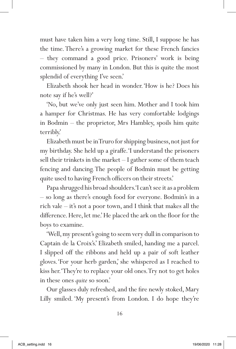must have taken him a very long time. Still, I suppose he has the time. There's a growing market for these French fancies – they command a good price. Prisoners' work is being commissioned by many in London. But this is quite the most splendid of everything I've seen.'

Elizabeth shook her head in wonder. 'How is he? Does his note say if he's well?'

'No, but we've only just seen him. Mother and I took him a hamper for Christmas. He has very comfortable lodgings in Bodmin – the proprietor, Mrs Hambley, spoils him quite terribly.'

Elizabeth must be in Truro for shipping business, not just for my birthday. She held up a giraffe. 'I understand the prisoners sell their trinkets in the market – I gather some of them teach fencing and dancing. The people of Bodmin must be getting quite used to having French officers on their streets.'

Papa shrugged his broad shoulders. 'I can't see it as a problem – so long as there's enough food for everyone. Bodmin's in a rich vale – it's not a poor town, and I think that makes all the difference. Here, let me.' He placed the ark on the floor for the boys to examine.

'Well, my present's going to seem very dull in comparison to Captain de la Croix's.' Elizabeth smiled, handing me a parcel. I slipped off the ribbons and held up a pair of soft leather gloves. 'For your herb garden,' she whispered as I reached to kiss her. 'They're to replace your old ones. Try not to get holes in these ones *quite* so soon.'

Our glasses duly refreshed, and the fire newly stoked, Mary Lilly smiled. 'My present's from London. I do hope they're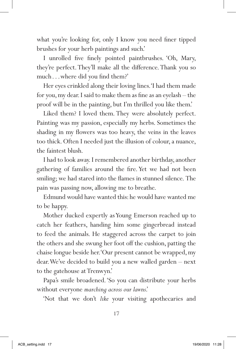what you're looking for, only I know you need finer tipped brushes for your herb paintings and such.'

I unrolled five finely pointed paintbrushes. 'Oh, Mary, they're perfect. They'll make all the difference. Thank you so much . . .where did you find them?'

Her eyes crinkled along their loving lines. 'I had them made for you, my dear. I said to make them as fine as an eyelash – the proof will be in the painting, but I'm thrilled you like them.'

Liked them? I loved them. They were absolutely perfect. Painting was my passion, especially my herbs. Sometimes the shading in my flowers was too heavy, the veins in the leaves too thick. Often I needed just the illusion of colour, a nuance, the faintest blush.

I had to look away. I remembered another birthday, another gathering of families around the fire. Yet we had not been smiling; we had stared into the flames in stunned silence. The pain was passing now, allowing me to breathe.

Edmund would have wanted this: he would have wanted me to be happy.

Mother ducked expertly as Young Emerson reached up to catch her feathers, handing him some gingerbread instead to feed the animals. He staggered across the carpet to join the others and she swung her foot off the cushion, patting the chaise longue beside her. 'Our present cannot be wrapped, my dear. We've decided to build you a new walled garden – next to the gatehouse at Trenwyn.'

Papa's smile broadened. 'So you can distribute your herbs without everyone *marching across our lawns*.'

'Not that we don't *like* your visiting apothecaries and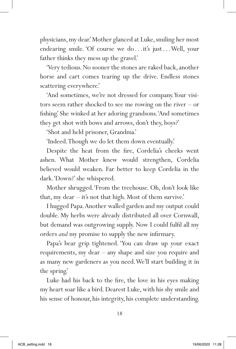physicians, my dear.' Mother glanced at Luke, smiling her most endearing smile. 'Of course we do . . .it's just. . .Well, your father thinks they mess up the gravel.'

'Very tedious. No sooner the stones are raked back, another horse and cart comes tearing up the drive. Endless stones scattering everywhere.'

'And sometimes, we're not dressed for company. Your visitors seem rather shocked to see me rowing on the river – or fishing.' She winked at her adoring grandsons. 'And sometimes they get shot with bows and arrows, don't they, boys?'

'Shot and held prisoner, Grandma.'

'Indeed. Though we do let them down eventually.'

Despite the heat from the fire, Cordelia's cheeks went ashen. What Mother knew would strengthen, Cordelia believed would weaken. Far better to keep Cordelia in the dark. 'Down?' she whispered.

Mother shrugged. 'From the treehouse. Oh, don't look like that, my dear – it's not that high. Most of them survive.'

I hugged Papa. Another walled garden and my output could double. My herbs were already distributed all over Cornwall, but demand was outgrowing supply. Now I could fulfil all my orders *and* my promise to supply the new infirmary.

Papa's bear grip tightened. 'You can draw up your exact requirements, my dear – any shape and size you require and as many new gardeners as you need. We'll start building it in the spring.'

Luke had his back to the fire, the love in his eyes making my heart soar like a bird. Dearest Luke, with his shy smile and his sense of honour, his integrity, his complete understanding.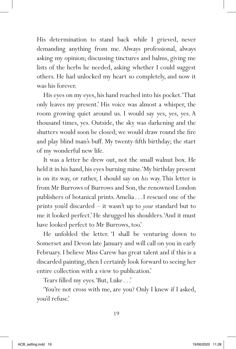His determination to stand back while I grieved, never demanding anything from me. Always professional, always asking my opinion; discussing tinctures and balms, giving me lists of the herbs he needed, asking whether I could suggest others. He had unlocked my heart so completely, and now it was his forever.

His eyes on my eyes, his hand reached into his pocket. 'That only leaves my present.' His voice was almost a whisper, the room growing quiet around us. I would say yes, yes, yes. A thousand times, yes. Outside, the sky was darkening and the shutters would soon be closed; we would draw round the fire and play blind man's buff. My twenty-fifth birthday; the start of my wonderful new life.

It was a letter he drew out, not the small walnut box. He held it in his hand, his eyes burning mine. 'My birthday present is on its way, or rather, I should say on *his* way. This letter is from Mr Burrows of Burrows and Son, the renowned London publishers of botanical prints. Amelia. . .I rescued one of the prints you'd discarded – it wasn't up to *your* standard but to me it looked perfect.' He shrugged his shoulders. 'And it must have looked perfect to Mr Burrows, too.'

He unfolded the letter. 'I shall be venturing down to Somerset and Devon late January and will call on you in early February. I believe Miss Carew has great talent and if this is a discarded painting, then I certainly look forward to seeing her entire collection with a view to publication.'

Tears filled my eyes. 'But, Luke. . .'

'You're not cross with me, are you? Only I knew if I asked, you'd refuse.'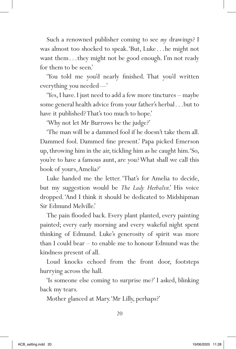Such a renowned publisher coming to see *my* drawings? I was almost too shocked to speak. 'But, Luke. . .he might not want them. . .they might not be good enough. I'm not ready for them to be seen.'

'You told me you'd nearly finished. That you'd written everything you needed—'

'Yes, I have. I just need to add a few more tinctures – maybe some general health advice from your father's herbal . . .but to have it published? That's too much to hope.'

'Why not let Mr Burrows be the judge?'

'The man will be a dammed fool if he doesn't take them all. Dammed fool. Dammed fine present.' Papa picked Emerson up, throwing him in the air, tickling him as he caught him. 'So, you're to have a famous aunt, are you? What shall we call this book of yours, Amelia?'

Luke handed me the letter. 'That's for Amelia to decide, but my suggestion would be *The Lady Herbalist*.' His voice dropped. 'And I think it should be dedicated to Midshipman Sir Edmund Melville.'

The pain flooded back. Every plant planted, every painting painted; every early morning and every wakeful night spent thinking of Edmund. Luke's generosity of spirit was more than I could bear – to enable me to honour Edmund was the kindness present of all.

Loud knocks echoed from the front door, footsteps hurrying across the hall.

'Is someone else coming to surprise me?' I asked, blinking back my tears.

Mother glanced at Mary. 'Mr Lilly, perhaps?'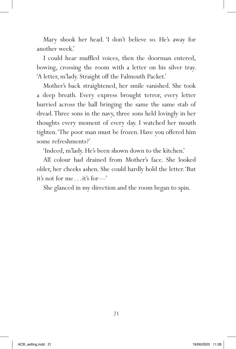Mary shook her head. 'I don't believe so. He's away for another week.'

I could hear muffled voices, then the doorman entered, bowing, crossing the room with a letter on his silver tray. 'A letter, m'lady. Straight off the Falmouth Packet.'

Mother's back straightened, her smile vanished. She took a deep breath. Every express brought terror, every letter hurried across the hall bringing the same the same stab of dread. Three sons in the navy, three sons held lovingly in her thoughts every moment of every day. I watched her mouth tighten. 'The poor man must be frozen. Have you offered him some refreshments?'

'Indeed, m'lady. He's been shown down to the kitchen.'

All colour had drained from Mother's face. She looked older, her cheeks ashen. She could hardly hold the letter. 'But it's not for me. . .it's for—'

She glanced in my direction and the room began to spin.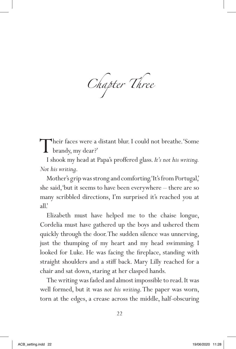*Chapter Three*

Their faces were a distant blur. I could not breathe. 'Some<br>brandy, my dear?'

I shook my head at Papa's proffered glass. *It's not his writing. Not his writing*.

Mother's grip was strong and comforting. 'It's from Portugal,' she said, 'but it seems to have been everywhere – there are so many scribbled directions, I'm surprised it's reached you at all.'

Elizabeth must have helped me to the chaise longue, Cordelia must have gathered up the boys and ushered them quickly through the door. The sudden silence was unnerving, just the thumping of my heart and my head swimming. I looked for Luke. He was facing the fireplace, standing with straight shoulders and a stiff back. Mary Lilly reached for a chair and sat down, staring at her clasped hands.

The writing was faded and almost impossible to read. It was well formed, but it was *not his writing*. The paper was worn, torn at the edges, a crease across the middle, half-obscuring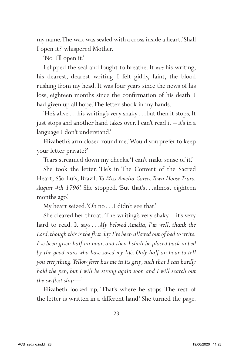my name. The wax was sealed with a cross inside a heart. 'Shall I open it?' whispered Mother.

'No. I'll open it.'

I slipped the seal and fought to breathe. It *was* his writing, his dearest, dearest writing. I felt giddy, faint, the blood rushing from my head. It was four years since the news of his loss, eighteen months since the confirmation of his death. I had given up all hope. The letter shook in my hands.

'He's alive. . .his writing's very shaky . . .but then it stops. It just stops and another hand takes over. I can't read it – it's in a language I don't understand.'

Elizabeth's arm closed round me. 'Would you prefer to keep your letter private?'

Tears streamed down my cheeks. 'I can't make sense of it.'

She took the letter. 'He's in The Convert of the Sacred Heart, São Luís, Brazil. *To Miss Amelia Carew, Town House Truro. August 4th 1796*.' She stopped. 'But that's. . .almost eighteen months ago.'

My heart seized. 'Oh no . . .I didn't see that.'

She cleared her throat. 'The writing's very shaky – it's very hard to read. It says. . .*My beloved Amelia, I'm well, thank the Lord, though this is the first day I've been allowed out of bed to write. I've been given half an hour, and then I shall be placed back in bed by the good nuns who have saved my life. Only half an hour to tell you everything. Yellow fever has me in its grip, such that I can hardly hold the pen, but I will be strong again soon and I will search out the swiftest ship*—'

Elizabeth looked up. 'That's where he stops. The rest of the letter is written in a different hand.' She turned the page.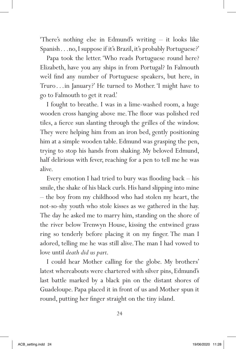'There's nothing else in Edmund's writing – it looks like Spanish . . .no, I suppose if it's Brazil, it's probably Portuguese?'

Papa took the letter. 'Who reads Portuguese round here? Elizabeth, have you any ships in from Portugal? In Falmouth we'd find any number of Portuguese speakers, but here, in Truro . . .in January?' He turned to Mother. 'I might have to go to Falmouth to get it read.'

I fought to breathe. I was in a lime-washed room, a huge wooden cross hanging above me. The floor was polished red tiles, a fierce sun slanting through the grilles of the window. They were helping him from an iron bed, gently positioning him at a simple wooden table. Edmund was grasping the pen, trying to stop his hands from shaking. My beloved Edmund, half delirious with fever, reaching for a pen to tell me he was alive.

Every emotion I had tried to bury was flooding back – his smile, the shake of his black curls. His hand slipping into mine – the boy from my childhood who had stolen my heart, the not-so-shy youth who stole kisses as we gathered in the hay. The day he asked me to marry him, standing on the shore of the river below Trenwyn House, kissing the entwined grass ring so tenderly before placing it on my finger. The man I adored, telling me he was still alive. The man I had vowed to love until *death did us part*.

I could hear Mother calling for the globe. My brothers' latest whereabouts were chartered with silver pins, Edmund's last battle marked by a black pin on the distant shores of Guadeloupe. Papa placed it in front of us and Mother spun it round, putting her finger straight on the tiny island.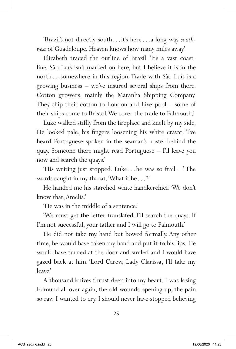'Brazil's not directly south . . .it's here. . .a long way *southwest* of Guadeloupe. Heaven knows how many miles away.'

Elizabeth traced the outline of Brazil. 'It's a vast coastline. São Luís isn't marked on here, but I believe it is in the north . . .somewhere in this region. Trade with São Luís is a growing business – we've insured several ships from there. Cotton growers, mainly the Maranha Shipping Company. They ship their cotton to London and Liverpool – some of their ships come to Bristol. We cover the trade to Falmouth.'

Luke walked stiffly from the fireplace and knelt by my side. He looked pale, his fingers loosening his white cravat. 'I've heard Portuguese spoken in the seaman's hostel behind the quay. Someone there might read Portuguese – I'll leave you now and search the quays.'

'His writing just stopped. Luke. . .he was so frail . . .' The words caught in my throat. 'What if he. . .?'

He handed me his starched white handkerchief. 'We don't know that, Amelia.'

'He was in the middle of a sentence.'

'We must get the letter translated. I'll search the quays. If I'm not successful, your father and I will go to Falmouth.'

He did not take my hand but bowed formally. Any other time, he would have taken my hand and put it to his lips. He would have turned at the door and smiled and I would have gazed back at him. 'Lord Carew, Lady Clarissa, I'll take my leave.'

A thousand knives thrust deep into my heart. I was losing Edmund all over again, the old wounds opening up, the pain so raw I wanted to cry. I should never have stopped believing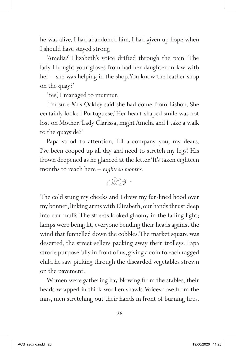he was alive. I had abandoned him. I had given up hope when I should have stayed strong.

'Amelia?' Elizabeth's voice drifted through the pain. 'The lady I bought your gloves from had her daughter-in-law with her – she was helping in the shop. You know the leather shop on the quay?'

'Yes,' I managed to murmur.

'I'm sure Mrs Oakley said she had come from Lisbon. She certainly looked Portuguese.' Her heart-shaped smile was not lost on Mother. 'Lady Clarissa, might Amelia and I take a walk to the quayside?'

Papa stood to attention. 'I'll accompany you, my dears. I've been cooped up all day and need to stretch my legs.' His frown deepened as he glanced at the letter. 'It's taken eighteen months to reach here – e*ighteen months* .'



The cold stung my cheeks and I drew my fur-lined hood over my bonnet, linking arms with Elizabeth, our hands thrust deep into our muffs. The streets looked gloomy in the fading light; lamps were being lit, everyone bending their heads against the wind that funnelled down the cobbles. The market square was deserted, the street sellers packing away their trolleys. Papa strode purposefully in front of us, giving a coin to each ragged child he saw picking through the discarded vegetables strewn on the pavement.

Women were gathering hay blowing from the stables, their heads wrapped in thick woollen shawls. Voices rose from the inns, men stretching out their hands in front of burning fires.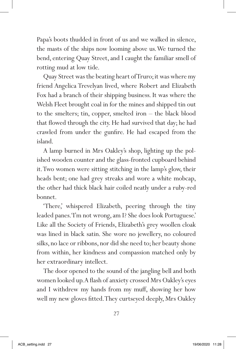Papa's boots thudded in front of us and we walked in silence, the masts of the ships now looming above us. We turned the bend, entering Quay Street, and I caught the familiar smell of rotting mud at low tide.

Quay Street was the beating heart of Truro; it was where my friend Angelica Trevelyan lived, where Robert and Elizabeth Fox had a branch of their shipping business. It was where the Welsh Fleet brought coal in for the mines and shipped tin out to the smelters; tin, copper, smelted iron – the black blood that flowed through the city. He had survived that day; he had crawled from under the gunfire. He had escaped from the island.

A lamp burned in Mrs Oakley's shop, lighting up the polished wooden counter and the glass-fronted cupboard behind it. Two women were sitting stitching in the lamp's glow, their heads bent; one had grey streaks and wore a white mobcap, the other had thick black hair coiled neatly under a ruby-red bonnet.

'There,' whispered Elizabeth, peering through the tiny leaded panes. 'I'm not wrong, am I? She does look Portuguese.' Like all the Society of Friends, Elizabeth's grey woollen cloak was lined in black satin. She wore no jewellery, no coloured silks, no lace or ribbons, nor did she need to; her beauty shone from within, her kindness and compassion matched only by her extraordinary intellect.

The door opened to the sound of the jangling bell and both women looked up. A flash of anxiety crossed Mrs Oakley's eyes and I withdrew my hands from my muff, showing her how well my new gloves fitted. They curtseyed deeply, Mrs Oakley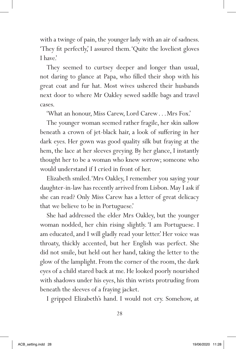with a twinge of pain, the younger lady with an air of sadness. 'They fit perfectly,' I assured them. 'Quite the loveliest gloves I have.'

They seemed to curtsey deeper and longer than usual, not daring to glance at Papa, who filled their shop with his great coat and fur hat. Most wives ushered their husbands next door to where Mr Oakley sewed saddle bags and travel cases.

'What an honour, Miss Carew, Lord Carew. . .Mrs Fox.'

The younger woman seemed rather fragile, her skin sallow beneath a crown of jet-black hair, a look of suffering in her dark eyes. Her gown was good quality silk but fraying at the hem, the lace at her sleeves greying. By her glance, I instantly thought her to be a woman who knew sorrow; someone who would understand if I cried in front of her.

Elizabeth smiled. 'Mrs Oakley, I remember you saying your daughter-in-law has recently arrived from Lisbon. May I ask if she can read? Only Miss Carew has a letter of great delicacy that we believe to be in Portuguese.'

She had addressed the elder Mrs Oakley, but the younger woman nodded, her chin rising slightly. 'I am Portuguese. I am educated, and I will gladly read your letter.' Her voice was throaty, thickly accented, but her English was perfect. She did not smile, but held out her hand, taking the letter to the glow of the lamplight. From the corner of the room, the dark eyes of a child stared back at me. He looked poorly nourished with shadows under his eyes, his thin wrists protruding from beneath the sleeves of a fraying jacket.

I gripped Elizabeth's hand. I would not cry. Somehow, at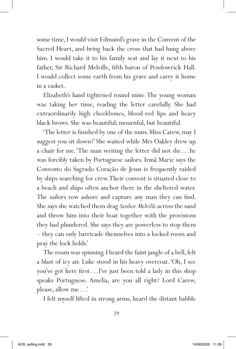some time, I would visit Edmund's grave in the Convent of the Sacred Heart, and bring back the cross that had hung above him. I would take it to his family seat and lay it next to his father, Sir Richard Melville, fifth baron of Pendowrick Hall. I would collect some earth from his grave and carry it home in a casket.

Elizabeth's hand tightened round mine. The young woman was taking her time, reading the letter carefully. She had extraordinarily high cheekbones, blood-red lips and heavy black brows. She was beautiful; mournful, but beautiful.

'The letter is finished by one of the nuns. Miss Carew, may I suggest you sit down?' She waited while Mrs Oakley drew up a chair for me. 'The man writing the letter did not die. . .he was forcibly taken by Portuguese sailors. Irmã Marie says the Convento do Sagrado Coração de Jesus is frequently raided by ships searching for crew. Their convent is situated close to a beach and ships often anchor there in the sheltered water. The sailors row ashore and capture any man they can find. She says she watched them drag *Senhor Melville* across the sand and throw him into their boat together with the provisions they had plundered. She says they are powerless to stop them – they can only barricade themselves into a locked room and pray the lock holds.'

The room was spinning. I heard the faint jangle of a bell, felt a blast of icy air. Luke stood in his heavy overcoat. 'Oh, I see you've got here first. . .I've just been told a lady in this shop speaks Portuguese. Amelia, are you all right? Lord Carew, please, allow me. . .'

I felt myself lifted in strong arms, heard the distant babble